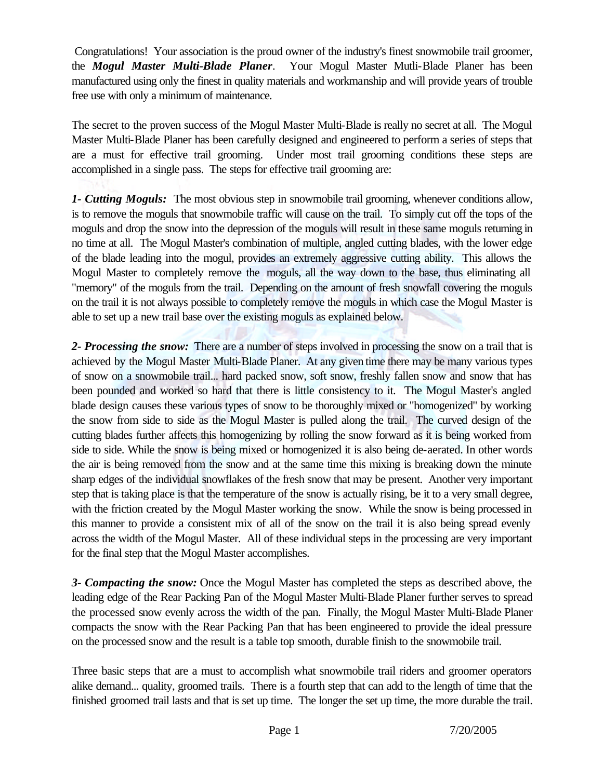Congratulations! Your association is the proud owner of the industry's finest snowmobile trail groomer, the *Mogul Master Multi-Blade Planer*. Your Mogul Master Mutli-Blade Planer has been manufactured using only the finest in quality materials and workmanship and will provide years of trouble free use with only a minimum of maintenance.

The secret to the proven success of the Mogul Master Multi-Blade is really no secret at all. The Mogul Master Multi-Blade Planer has been carefully designed and engineered to perform a series of steps that are a must for effective trail grooming. Under most trail grooming conditions these steps are accomplished in a single pass. The steps for effective trail grooming are:

*1- Cutting Moguls:* The most obvious step in snowmobile trail grooming, whenever conditions allow, is to remove the moguls that snowmobile traffic will cause on the trail. To simply cut off the tops of the moguls and drop the snow into the depression of the moguls will result in these same moguls returning in no time at all. The Mogul Master's combination of multiple, angled cutting blades, with the lower edge of the blade leading into the mogul, provides an extremely aggressive cutting ability. This allows the Mogul Master to completely remove the moguls, all the way down to the base, thus eliminating all "memory" of the moguls from the trail. Depending on the amount of fresh snowfall covering the moguls on the trail it is not always possible to completely remove the moguls in which case the Mogul Master is able to set up a new trail base over the existing moguls as explained below.

*2- Processing the snow:* There are a number of steps involved in processing the snow on a trail that is achieved by the Mogul Master Multi-Blade Planer. At any given time there may be many various types of snow on a snowmobile trail... hard packed snow, soft snow, freshly fallen snow and snow that has been pounded and worked so hard that there is little consistency to it. The Mogul Master's angled blade design causes these various types of snow to be thoroughly mixed or "homogenized" by working the snow from side to side as the Mogul Master is pulled along the trail. The curved design of the cutting blades further affects this homogenizing by rolling the snow forward as it is being worked from side to side. While the snow is being mixed or homogenized it is also being de-aerated. In other words the air is being removed from the snow and at the same time this mixing is breaking down the minute sharp edges of the individual snowflakes of the fresh snow that may be present. Another very important step that is taking place is that the temperature of the snow is actually rising, be it to a very small degree, with the friction created by the Mogul Master working the snow. While the snow is being processed in this manner to provide a consistent mix of all of the snow on the trail it is also being spread evenly across the width of the Mogul Master. All of these individual steps in the processing are very important for the final step that the Mogul Master accomplishes.

*3- Compacting the snow:* Once the Mogul Master has completed the steps as described above, the leading edge of the Rear Packing Pan of the Mogul Master Multi-Blade Planer further serves to spread the processed snow evenly across the width of the pan. Finally, the Mogul Master Multi-Blade Planer compacts the snow with the Rear Packing Pan that has been engineered to provide the ideal pressure on the processed snow and the result is a table top smooth, durable finish to the snowmobile trail.

Three basic steps that are a must to accomplish what snowmobile trail riders and groomer operators alike demand... quality, groomed trails. There is a fourth step that can add to the length of time that the finished groomed trail lasts and that is set up time. The longer the set up time, the more durable the trail.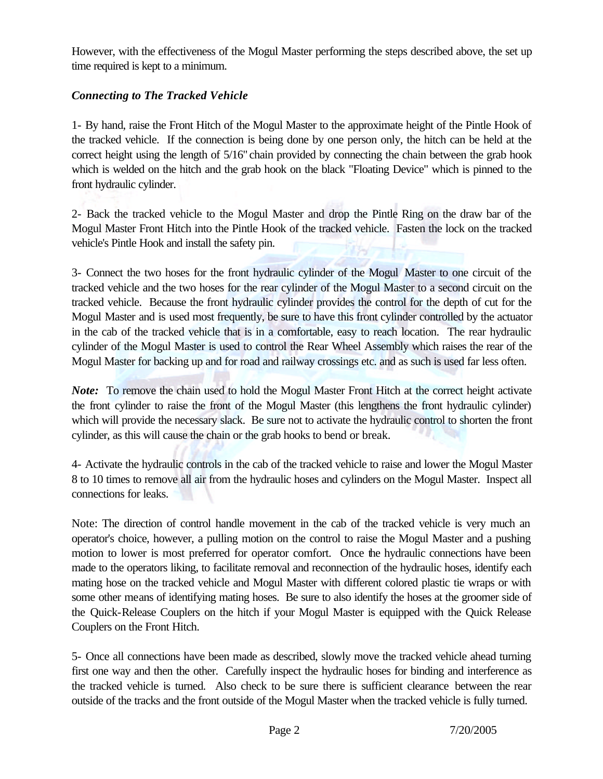However, with the effectiveness of the Mogul Master performing the steps described above, the set up time required is kept to a minimum.

## *Connecting to The Tracked Vehicle*

1- By hand, raise the Front Hitch of the Mogul Master to the approximate height of the Pintle Hook of the tracked vehicle. If the connection is being done by one person only, the hitch can be held at the correct height using the length of 5/16" chain provided by connecting the chain between the grab hook which is welded on the hitch and the grab hook on the black "Floating Device" which is pinned to the front hydraulic cylinder.

2- Back the tracked vehicle to the Mogul Master and drop the Pintle Ring on the draw bar of the Mogul Master Front Hitch into the Pintle Hook of the tracked vehicle. Fasten the lock on the tracked vehicle's Pintle Hook and install the safety pin.

3- Connect the two hoses for the front hydraulic cylinder of the Mogul Master to one circuit of the tracked vehicle and the two hoses for the rear cylinder of the Mogul Master to a second circuit on the tracked vehicle. Because the front hydraulic cylinder provides the control for the depth of cut for the Mogul Master and is used most frequently, be sure to have this front cylinder controlled by the actuator in the cab of the tracked vehicle that is in a comfortable, easy to reach location. The rear hydraulic cylinder of the Mogul Master is used to control the Rear Wheel Assembly which raises the rear of the Mogul Master for backing up and for road and railway crossings etc. and as such is used far less often.

*Note:* To remove the chain used to hold the Mogul Master Front Hitch at the correct height activate the front cylinder to raise the front of the Mogul Master (this lengthens the front hydraulic cylinder) which will provide the necessary slack. Be sure not to activate the hydraulic control to shorten the front cylinder, as this will cause the chain or the grab hooks to bend or break.

4- Activate the hydraulic controls in the cab of the tracked vehicle to raise and lower the Mogul Master 8 to 10 times to remove all air from the hydraulic hoses and cylinders on the Mogul Master. Inspect all connections for leaks.

Note: The direction of control handle movement in the cab of the tracked vehicle is very much an operator's choice, however, a pulling motion on the control to raise the Mogul Master and a pushing motion to lower is most preferred for operator comfort. Once the hydraulic connections have been made to the operators liking, to facilitate removal and reconnection of the hydraulic hoses, identify each mating hose on the tracked vehicle and Mogul Master with different colored plastic tie wraps or with some other means of identifying mating hoses. Be sure to also identify the hoses at the groomer side of the Quick-Release Couplers on the hitch if your Mogul Master is equipped with the Quick Release Couplers on the Front Hitch.

5- Once all connections have been made as described, slowly move the tracked vehicle ahead turning first one way and then the other. Carefully inspect the hydraulic hoses for binding and interference as the tracked vehicle is turned. Also check to be sure there is sufficient clearance between the rear outside of the tracks and the front outside of the Mogul Master when the tracked vehicle is fully turned.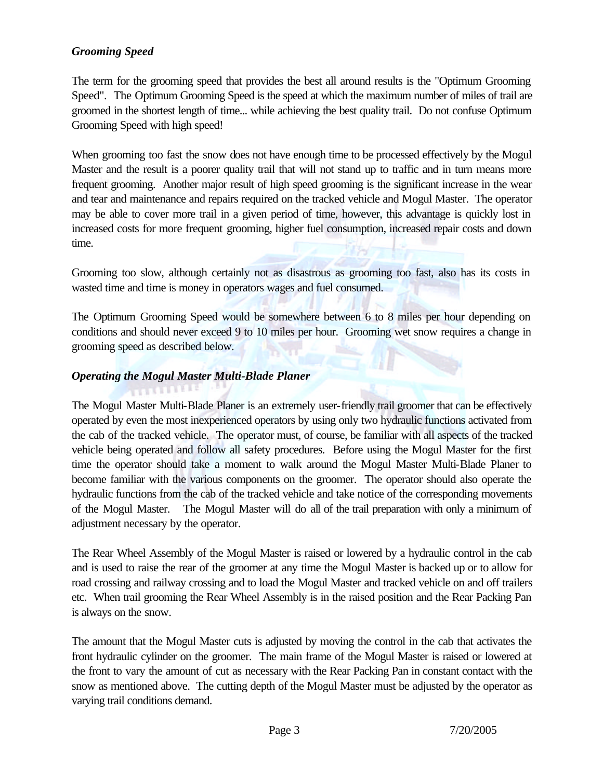#### *Grooming Speed*

The term for the grooming speed that provides the best all around results is the "Optimum Grooming Speed". The Optimum Grooming Speed is the speed at which the maximum number of miles of trail are groomed in the shortest length of time... while achieving the best quality trail. Do not confuse Optimum Grooming Speed with high speed!

When grooming too fast the snow does not have enough time to be processed effectively by the Mogul Master and the result is a poorer quality trail that will not stand up to traffic and in turn means more frequent grooming. Another major result of high speed grooming is the significant increase in the wear and tear and maintenance and repairs required on the tracked vehicle and Mogul Master. The operator may be able to cover more trail in a given period of time, however, this advantage is quickly lost in increased costs for more frequent grooming, higher fuel consumption, increased repair costs and down time.

Grooming too slow, although certainly not as disastrous as grooming too fast, also has its costs in wasted time and time is money in operators wages and fuel consumed.

The Optimum Grooming Speed would be somewhere between 6 to 8 miles per hour depending on conditions and should never exceed 9 to 10 miles per hour. Grooming wet snow requires a change in grooming speed as described below.

#### *Operating the Mogul Master Multi-Blade Planer*

The Mogul Master Multi-Blade Planer is an extremely user-friendly trail groomer that can be effectively operated by even the most inexperienced operators by using only two hydraulic functions activated from the cab of the tracked vehicle. The operator must, of course, be familiar with all aspects of the tracked vehicle being operated and follow all safety procedures. Before using the Mogul Master for the first time the operator should take a moment to walk around the Mogul Master Multi-Blade Planer to become familiar with the various components on the groomer. The operator should also operate the hydraulic functions from the cab of the tracked vehicle and take notice of the corresponding movements of the Mogul Master. The Mogul Master will do all of the trail preparation with only a minimum of adjustment necessary by the operator.

The Rear Wheel Assembly of the Mogul Master is raised or lowered by a hydraulic control in the cab and is used to raise the rear of the groomer at any time the Mogul Master is backed up or to allow for road crossing and railway crossing and to load the Mogul Master and tracked vehicle on and off trailers etc. When trail grooming the Rear Wheel Assembly is in the raised position and the Rear Packing Pan is always on the snow.

The amount that the Mogul Master cuts is adjusted by moving the control in the cab that activates the front hydraulic cylinder on the groomer. The main frame of the Mogul Master is raised or lowered at the front to vary the amount of cut as necessary with the Rear Packing Pan in constant contact with the snow as mentioned above. The cutting depth of the Mogul Master must be adjusted by the operator as varying trail conditions demand.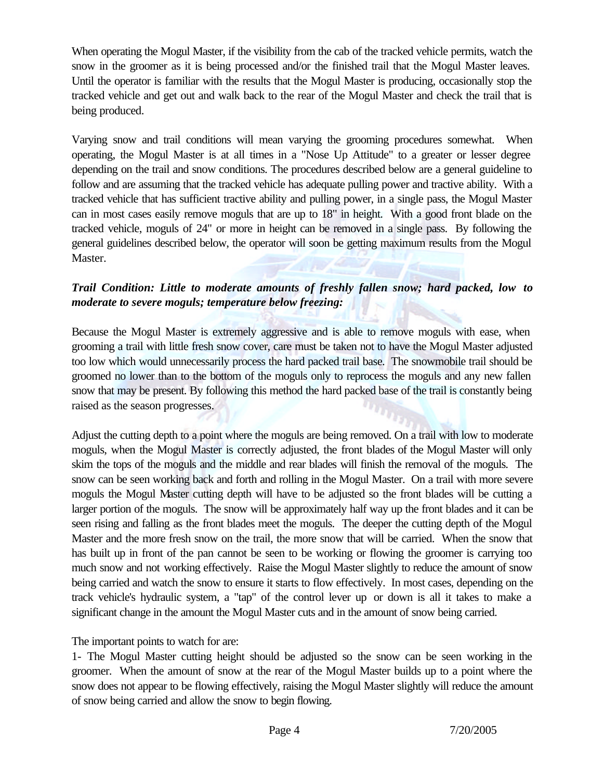When operating the Mogul Master, if the visibility from the cab of the tracked vehicle permits, watch the snow in the groomer as it is being processed and/or the finished trail that the Mogul Master leaves. Until the operator is familiar with the results that the Mogul Master is producing, occasionally stop the tracked vehicle and get out and walk back to the rear of the Mogul Master and check the trail that is being produced.

Varying snow and trail conditions will mean varying the grooming procedures somewhat. When operating, the Mogul Master is at all times in a "Nose Up Attitude" to a greater or lesser degree depending on the trail and snow conditions. The procedures described below are a general guideline to follow and are assuming that the tracked vehicle has adequate pulling power and tractive ability. With a tracked vehicle that has sufficient tractive ability and pulling power, in a single pass, the Mogul Master can in most cases easily remove moguls that are up to 18" in height. With a good front blade on the tracked vehicle, moguls of 24" or more in height can be removed in a single pass. By following the general guidelines described below, the operator will soon be getting maximum results from the Mogul Master.

## *Trail Condition: Little to moderate amounts of freshly fallen snow; hard packed, low to moderate to severe moguls; temperature below freezing:*

Because the Mogul Master is extremely aggressive and is able to remove moguls with ease, when grooming a trail with little fresh snow cover, care must be taken not to have the Mogul Master adjusted too low which would unnecessarily process the hard packed trail base. The snowmobile trail should be groomed no lower than to the bottom of the moguls only to reprocess the moguls and any new fallen snow that may be present. By following this method the hard packed base of the trail is constantly being raised as the season progresses.

Adjust the cutting depth to a point where the moguls are being removed. On a trail with low to moderate moguls, when the Mogul Master is correctly adjusted, the front blades of the Mogul Master will only skim the tops of the moguls and the middle and rear blades will finish the removal of the moguls. The snow can be seen working back and forth and rolling in the Mogul Master. On a trail with more severe moguls the Mogul Master cutting depth will have to be adjusted so the front blades will be cutting a larger portion of the moguls. The snow will be approximately half way up the front blades and it can be seen rising and falling as the front blades meet the moguls. The deeper the cutting depth of the Mogul Master and the more fresh snow on the trail, the more snow that will be carried. When the snow that has built up in front of the pan cannot be seen to be working or flowing the groomer is carrying too much snow and not working effectively. Raise the Mogul Master slightly to reduce the amount of snow being carried and watch the snow to ensure it starts to flow effectively. In most cases, depending on the track vehicle's hydraulic system, a "tap" of the control lever up or down is all it takes to make a significant change in the amount the Mogul Master cuts and in the amount of snow being carried.

The important points to watch for are:

1- The Mogul Master cutting height should be adjusted so the snow can be seen working in the groomer. When the amount of snow at the rear of the Mogul Master builds up to a point where the snow does not appear to be flowing effectively, raising the Mogul Master slightly will reduce the amount of snow being carried and allow the snow to begin flowing.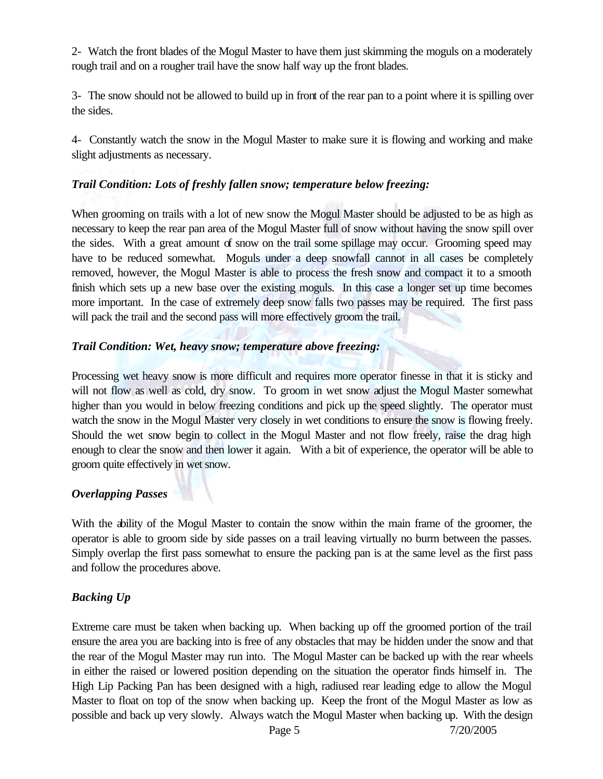2- Watch the front blades of the Mogul Master to have them just skimming the moguls on a moderately rough trail and on a rougher trail have the snow half way up the front blades.

3- The snow should not be allowed to build up in front of the rear pan to a point where it is spilling over the sides.

4- Constantly watch the snow in the Mogul Master to make sure it is flowing and working and make slight adjustments as necessary.

## *Trail Condition: Lots of freshly fallen snow; temperature below freezing:*

When grooming on trails with a lot of new snow the Mogul Master should be adjusted to be as high as necessary to keep the rear pan area of the Mogul Master full of snow without having the snow spill over the sides. With a great amount of snow on the trail some spillage may occur. Grooming speed may have to be reduced somewhat. Moguls under a deep snowfall cannot in all cases be completely removed, however, the Mogul Master is able to process the fresh snow and compact it to a smooth finish which sets up a new base over the existing moguls. In this case a longer set up time becomes more important. In the case of extremely deep snow falls two passes may be required. The first pass will pack the trail and the second pass will more effectively groom the trail.

### *Trail Condition: Wet, heavy snow; temperature above freezing:*

Processing wet heavy snow is more difficult and requires more operator finesse in that it is sticky and will not flow as well as cold, dry snow. To groom in wet snow adjust the Mogul Master somewhat higher than you would in below freezing conditions and pick up the speed slightly. The operator must watch the snow in the Mogul Master very closely in wet conditions to ensure the snow is flowing freely. Should the wet snow begin to collect in the Mogul Master and not flow freely, raise the drag high enough to clear the snow and then lower it again. With a bit of experience, the operator will be able to groom quite effectively in wet snow.

#### *Overlapping Passes*

With the ability of the Mogul Master to contain the snow within the main frame of the groomer, the operator is able to groom side by side passes on a trail leaving virtually no burm between the passes. Simply overlap the first pass somewhat to ensure the packing pan is at the same level as the first pass and follow the procedures above.

## *Backing Up*

Extreme care must be taken when backing up. When backing up off the groomed portion of the trail ensure the area you are backing into is free of any obstacles that may be hidden under the snow and that the rear of the Mogul Master may run into. The Mogul Master can be backed up with the rear wheels in either the raised or lowered position depending on the situation the operator finds himself in. The High Lip Packing Pan has been designed with a high, radiused rear leading edge to allow the Mogul Master to float on top of the snow when backing up. Keep the front of the Mogul Master as low as possible and back up very slowly. Always watch the Mogul Master when backing up. With the design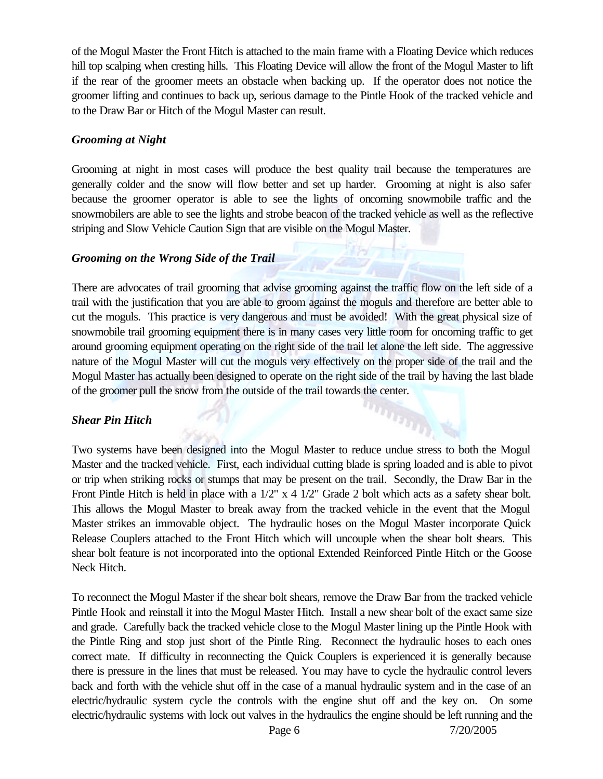of the Mogul Master the Front Hitch is attached to the main frame with a Floating Device which reduces hill top scalping when cresting hills. This Floating Device will allow the front of the Mogul Master to lift if the rear of the groomer meets an obstacle when backing up. If the operator does not notice the groomer lifting and continues to back up, serious damage to the Pintle Hook of the tracked vehicle and to the Draw Bar or Hitch of the Mogul Master can result.

#### *Grooming at Night*

Grooming at night in most cases will produce the best quality trail because the temperatures are generally colder and the snow will flow better and set up harder. Grooming at night is also safer because the groomer operator is able to see the lights of oncoming snowmobile traffic and the snowmobilers are able to see the lights and strobe beacon of the tracked vehicle as well as the reflective striping and Slow Vehicle Caution Sign that are visible on the Mogul Master.

#### *Grooming on the Wrong Side of the Trail*

There are advocates of trail grooming that advise grooming against the traffic flow on the left side of a trail with the justification that you are able to groom against the moguls and therefore are better able to cut the moguls. This practice is very dangerous and must be avoided! With the great physical size of snowmobile trail grooming equipment there is in many cases very little room for oncoming traffic to get around grooming equipment operating on the right side of the trail let alone the left side. The aggressive nature of the Mogul Master will cut the moguls very effectively on the proper side of the trail and the Mogul Master has actually been designed to operate on the right side of the trail by having the last blade of the groomer pull the snow from the outside of the trail towards the center.

 $n_{\tilde{H}_{I_{I_{I_{I}}}}}$ 

#### *Shear Pin Hitch*

Two systems have been designed into the Mogul Master to reduce undue stress to both the Mogul Master and the tracked vehicle. First, each individual cutting blade is spring loaded and is able to pivot or trip when striking rocks or stumps that may be present on the trail. Secondly, the Draw Bar in the Front Pintle Hitch is held in place with a  $1/2$ " x 4  $1/2$ " Grade 2 bolt which acts as a safety shear bolt. This allows the Mogul Master to break away from the tracked vehicle in the event that the Mogul Master strikes an immovable object. The hydraulic hoses on the Mogul Master incorporate Quick Release Couplers attached to the Front Hitch which will uncouple when the shear bolt shears. This shear bolt feature is not incorporated into the optional Extended Reinforced Pintle Hitch or the Goose Neck Hitch.

To reconnect the Mogul Master if the shear bolt shears, remove the Draw Bar from the tracked vehicle Pintle Hook and reinstall it into the Mogul Master Hitch. Install a new shear bolt of the exact same size and grade. Carefully back the tracked vehicle close to the Mogul Master lining up the Pintle Hook with the Pintle Ring and stop just short of the Pintle Ring. Reconnect the hydraulic hoses to each ones correct mate. If difficulty in reconnecting the Quick Couplers is experienced it is generally because there is pressure in the lines that must be released. You may have to cycle the hydraulic control levers back and forth with the vehicle shut off in the case of a manual hydraulic system and in the case of an electric/hydraulic system cycle the controls with the engine shut off and the key on. On some electric/hydraulic systems with lock out valves in the hydraulics the engine should be left running and the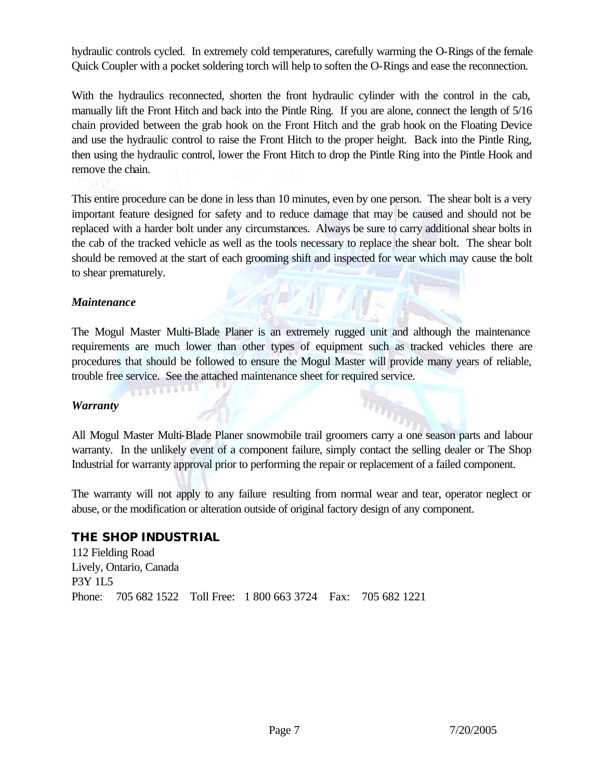hydraulic controls cycled. In extremely cold temperatures, carefully warming the O-Rings of the female Quick Coupler with a pocket soldering torch will help to soften the O-Rings and ease the reconnection.

With the hydraulics reconnected, shorten the front hydraulic cylinder with the control in the cab, manually lift the Front Hitch and back into the Pintle Ring. If you are alone, connect the length of 5/16 chain provided between the grab hook on the Front Hitch and the grab hook on the Floating Device and use the hydraulic control to raise the Front Hitch to the proper height. Back into the Pintle Ring, then using the hydraulic control, lower the Front Hitch to drop the Pintle Ring into the Pintle Hook and remove the chain.

This entire procedure can be done in less than 10 minutes, even by one person. The shear bolt is a very important feature designed for safety and to reduce damage that may be caused and should not be replaced with a harder bolt under any circumstances. Always be sure to carry additional shear bolts in the cab of the tracked vehicle as well as the tools necessary to replace the shear bolt. The shear bolt should be removed at the start of each grooming shift and inspected for wear which may cause the bolt to shear prematurely.

#### *Maintenance*

The Mogul Master Multi-Blade Planer is an extremely rugged unit and although the maintenance requirements are much lower than other types of equipment such as tracked vehicles there are procedures that should be followed to ensure the Mogul Master will provide many years of reliable, trouble free service. See the attached maintenance sheet for required service.

#### *Warranty*

All Mogul Master Multi-Blade Planer snowmobile trail groomers carry a one season parts and labour warranty. In the unlikely event of a component failure, simply contact the selling dealer or The Shop Industrial for warranty approval prior to performing the repair or replacement of a failed component.

**TITLES** 

The warranty will not apply to any failure resulting from normal wear and tear, operator neglect or abuse, or the modification or alteration outside of original factory design of any component.

#### **THE SHOP INDUSTRIAL**

**PARTIES** 

112 Fielding Road Lively, Ontario, Canada P3Y 1L5 Phone: 705 682 1522 Toll Free: 1 800 663 3724 Fax: 705 682 1221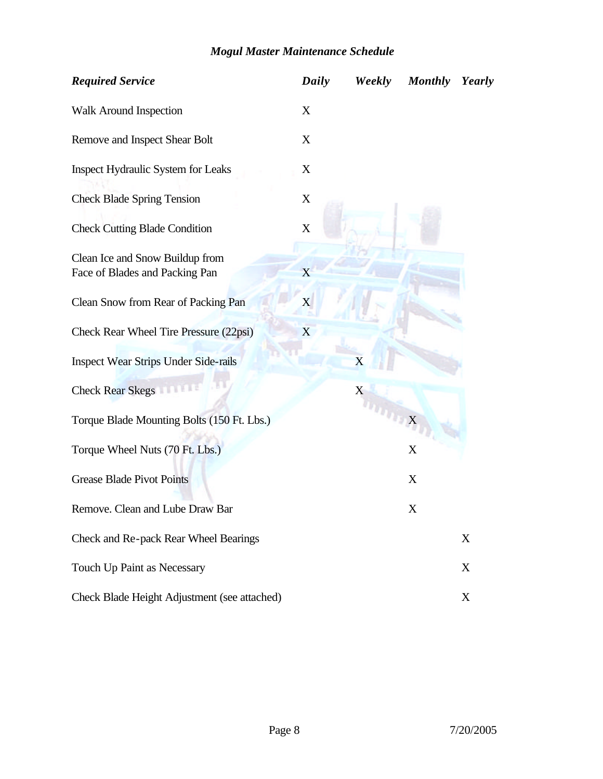# *Mogul Master Maintenance Schedule*

| <b>Required Service</b>                                           | Daily                     | Weekly | <b>Monthly</b>          | Yearly |
|-------------------------------------------------------------------|---------------------------|--------|-------------------------|--------|
| Walk Around Inspection                                            | X                         |        |                         |        |
| Remove and Inspect Shear Bolt                                     | X                         |        |                         |        |
| Inspect Hydraulic System for Leaks                                | X                         |        |                         |        |
| <b>Check Blade Spring Tension</b>                                 | $\mathbf X$               |        |                         |        |
| <b>Check Cutting Blade Condition</b>                              | $\mathbf X$               |        |                         |        |
| Clean Ice and Snow Buildup from<br>Face of Blades and Packing Pan | X                         |        |                         |        |
| Clean Snow from Rear of Packing Pan                               | $\boldsymbol{\mathrm{X}}$ |        |                         |        |
| Check Rear Wheel Tire Pressure (22psi)                            | X                         |        |                         |        |
| <b>Inspect Wear Strips Under Side-rails</b>                       |                           | X      |                         |        |
| <b>Check Rear Skegs</b>                                           |                           | X      |                         |        |
| Torque Blade Mounting Bolts (150 Ft. Lbs.)                        |                           |        | $\overline{\mathbf{x}}$ |        |
| Torque Wheel Nuts (70 Ft. Lbs.)                                   |                           |        | X                       |        |
| <b>Grease Blade Pivot Points</b>                                  |                           |        | X                       |        |
| Remove. Clean and Lube Draw Bar                                   |                           |        | X                       |        |
| Check and Re-pack Rear Wheel Bearings                             |                           |        |                         | X      |
| Touch Up Paint as Necessary                                       |                           |        |                         | X      |
| Check Blade Height Adjustment (see attached)                      |                           |        |                         | X      |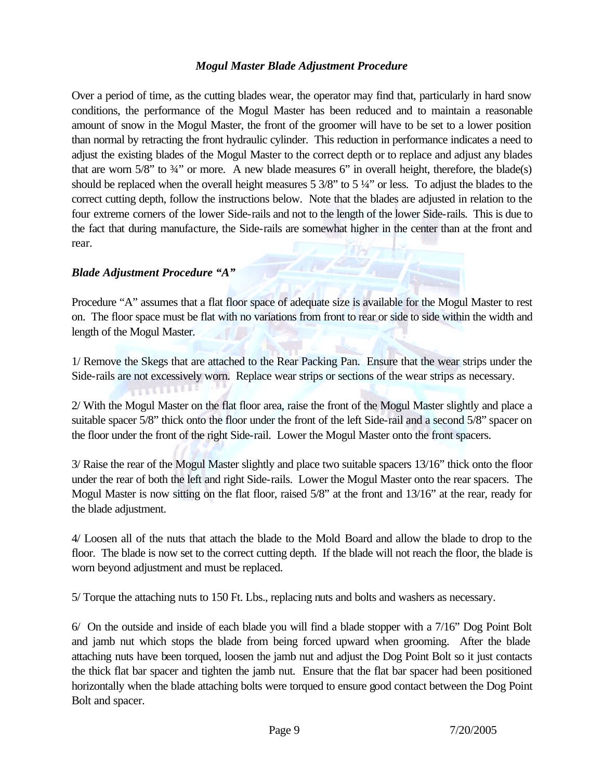#### *Mogul Master Blade Adjustment Procedure*

Over a period of time, as the cutting blades wear, the operator may find that, particularly in hard snow conditions, the performance of the Mogul Master has been reduced and to maintain a reasonable amount of snow in the Mogul Master, the front of the groomer will have to be set to a lower position than normal by retracting the front hydraulic cylinder. This reduction in performance indicates a need to adjust the existing blades of the Mogul Master to the correct depth or to replace and adjust any blades that are worn  $5/8$ " to  $3/4$ " or more. A new blade measures 6" in overall height, therefore, the blade(s) should be replaced when the overall height measures 5 3/8" to 5 ¼" or less. To adjust the blades to the correct cutting depth, follow the instructions below. Note that the blades are adjusted in relation to the four extreme corners of the lower Side-rails and not to the length of the lower Side-rails. This is due to the fact that during manufacture, the Side-rails are somewhat higher in the center than at the front and rear.

#### *Blade Adjustment Procedure "A"*

**PERMITTEE** 

Procedure "A" assumes that a flat floor space of adequate size is available for the Mogul Master to rest on. The floor space must be flat with no variations from front to rear or side to side within the width and length of the Mogul Master.

1/ Remove the Skegs that are attached to the Rear Packing Pan. Ensure that the wear strips under the Side-rails are not excessively worn. Replace wear strips or sections of the wear strips as necessary.

2/ With the Mogul Master on the flat floor area, raise the front of the Mogul Master slightly and place a suitable spacer 5/8" thick onto the floor under the front of the left Side-rail and a second 5/8" spacer on the floor under the front of the right Side-rail. Lower the Mogul Master onto the front spacers.

3/ Raise the rear of the Mogul Master slightly and place two suitable spacers 13/16" thick onto the floor under the rear of both the left and right Side-rails. Lower the Mogul Master onto the rear spacers. The Mogul Master is now sitting on the flat floor, raised 5/8" at the front and 13/16" at the rear, ready for the blade adjustment.

4/ Loosen all of the nuts that attach the blade to the Mold Board and allow the blade to drop to the floor. The blade is now set to the correct cutting depth. If the blade will not reach the floor, the blade is worn beyond adjustment and must be replaced.

5/ Torque the attaching nuts to 150 Ft. Lbs., replacing nuts and bolts and washers as necessary.

6/ On the outside and inside of each blade you will find a blade stopper with a 7/16" Dog Point Bolt and jamb nut which stops the blade from being forced upward when grooming. After the blade attaching nuts have been torqued, loosen the jamb nut and adjust the Dog Point Bolt so it just contacts the thick flat bar spacer and tighten the jamb nut. Ensure that the flat bar spacer had been positioned horizontally when the blade attaching bolts were torqued to ensure good contact between the Dog Point Bolt and spacer.